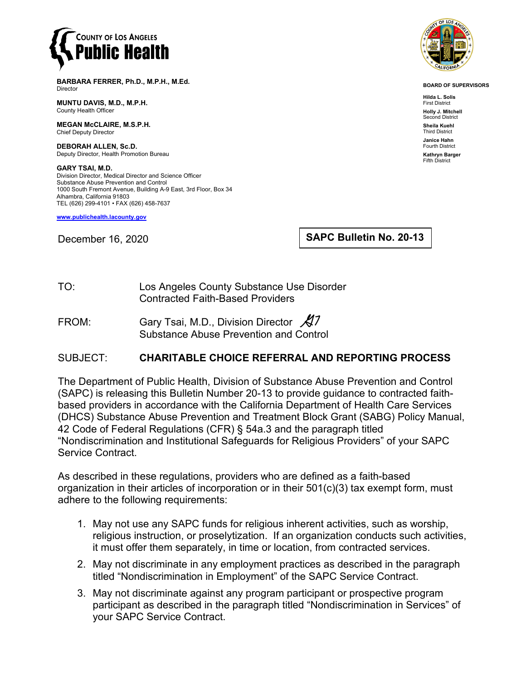

**BARBARA FERRER, Ph.D., M.P.H., M.Ed.** Director

**MUNTU DAVIS, M.D., M.P.H.** County Health Officer

**MEGAN McCLAIRE, M.S.P.H.** Chief Deputy Director

**DEBORAH ALLEN, Sc.D.** Deputy Director, Health Promotion Bureau

**GARY TSAI, M.D.** Division Director, Medical Director and Science Officer Substance Abuse Prevention and Control 1000 South Fremont Avenue, Building A-9 East, 3rd Floor, Box 34 Alhambra, California 91803 TEL (626) 299-4101 • FAX (626) 458-7637

**[www.publichealth.lacounty.gov](http://www.publichealth.lacounty.gov/)**

December 16, 2020

**SAPC Bulletin No. 20-13**

TO: Los Angeles County Substance Use Disorder Contracted Faith-Based Providers

FROM: Gary Tsai, M.D., Division Director  $\cancel{\mathcal{A}}$ 7 Substance Abuse Prevention and Control

## SUBJECT: **CHARITABLE CHOICE REFERRAL AND REPORTING PROCESS**

The Department of Public Health, Division of Substance Abuse Prevention and Control (SAPC) is releasing this Bulletin Number 20-13 to provide guidance to contracted faithbased providers in accordance with the California Department of Health Care Services (DHCS) Substance Abuse Prevention and Treatment Block Grant (SABG) Policy Manual, 42 Code of Federal Regulations (CFR) § 54a.3 and the paragraph titled "Nondiscrimination and Institutional Safeguards for Religious Providers" of your SAPC Service Contract.

As described in these regulations, providers who are defined as a faith-based organization in their articles of incorporation or in their 501(c)(3) tax exempt form, must adhere to the following requirements:

- 1. May not use any SAPC funds for religious inherent activities, such as worship, religious instruction, or proselytization. If an organization conducts such activities, it must offer them separately, in time or location, from contracted services.
- 2. May not discriminate in any employment practices as described in the paragraph titled "Nondiscrimination in Employment" of the SAPC Service Contract.
- 3. May not discriminate against any program participant or prospective program participant as described in the paragraph titled "Nondiscrimination in Services" of your SAPC Service Contract.



**BOARD OF SUPERVISORS**

**Hilda L. Solis** First District **Holly J. Mitchell** nd District **Sheila Kuehl** Third District **Janice Hahn** Fourth District **Kathryn Barger** Fifth District